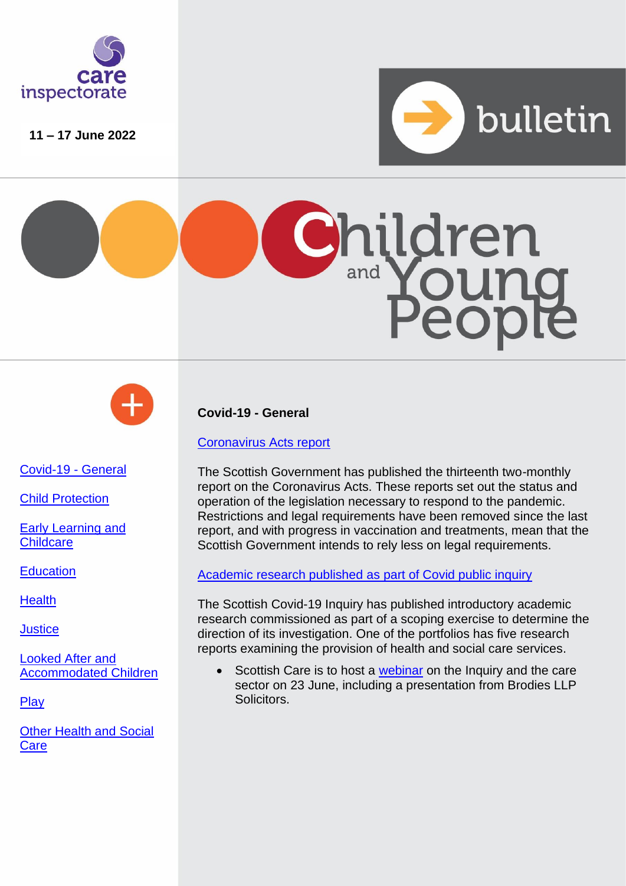

**11 – 17 June 2022**







[Covid-19 -](#page-0-0) General

[Child Protection](#page-1-0)

[Early Learning](#page-1-1) and **[Childcare](#page-1-1)** 

**[Education](#page-1-2)** 

**[Health](#page-2-0)** 

**[Justice](#page-2-1)** 

[Looked After and](#page-3-0)  [Accommodated Children](#page-3-0)

**[Play](#page-3-1)** 

[Other Health and Social](#page-3-2)  **[Care](#page-3-2)** 

<span id="page-0-0"></span>**Covid-19 - General**

[Coronavirus Acts report](https://www.gov.scot/publications/coronavirus-acts-thirteenth-report-scottish-parliament/)

The Scottish Government has published the thirteenth two-monthly report on the Coronavirus Acts. These reports set out the status and operation of the legislation necessary to respond to the pandemic. Restrictions and legal requirements have been removed since the last report, and with progress in vaccination and treatments, mean that the Scottish Government intends to rely less on legal requirements.

[Academic research published](https://www.covid19inquiry.scot/introductory-academic-research) as part of Covid public inquiry

The Scottish Covid-19 Inquiry has published introductory academic research commissioned as part of a scoping exercise to determine the direction of its investigation. One of the portfolios has five research reports examining the provision of health and social care services.

Scottish Care is to host a [webinar](https://scottishcare.org/the-scottish-covid-19-inquiry-and-the-care-sector-webinar-23-june/) on the Inquiry and the care sector on 23 June, including a presentation from Brodies LLP **Solicitors**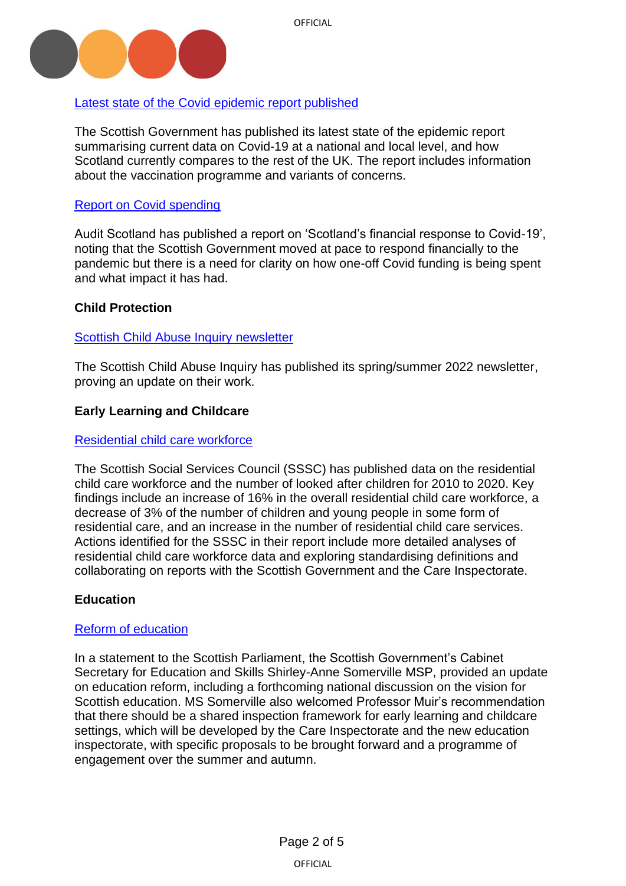

# [Latest state of the Covid epidemic report published](https://www.gov.scot/publications/coronavirus-covid-19-state-epidemic-10-june-2022/)

The Scottish Government has published its latest state of the epidemic report summarising current data on Covid-19 at a national and local level, and how Scotland currently compares to the rest of the UK. The report includes information about the vaccination programme and variants of concerns.

## [Report on Covid spending](https://www.audit-scotland.gov.uk/news/clarity-on-covid-19-spending-remains-vital)

Audit Scotland has published a report on 'Scotland's financial response to Covid-19', noting that the Scottish Government moved at pace to respond financially to the pandemic but there is a need for clarity on how one-off Covid funding is being spent and what impact it has had.

# <span id="page-1-0"></span>**Child Protection**

## [Scottish Child Abuse Inquiry newsletter](https://www.childabuseinquiry.scot/news/newsletter-springsummer-2022/)

The Scottish Child Abuse Inquiry has published its spring/summer 2022 newsletter, proving an update on their work.

## <span id="page-1-1"></span>**Early Learning and Childcare**

#### [Residential child care workforce](https://news.sssc.uk.com/news/new-report-residential-child-care-workforce)

The Scottish Social Services Council (SSSC) has published data on the residential child care workforce and the number of looked after children for 2010 to 2020. Key findings include an increase of 16% in the overall residential child care workforce, a decrease of 3% of the number of children and young people in some form of residential care, and an increase in the number of residential child care services. Actions identified for the SSSC in their report include more detailed analyses of residential child care workforce data and exploring standardising definitions and collaborating on reports with the Scottish Government and the Care Inspectorate.

## <span id="page-1-2"></span>**Education**

#### [Reform of education](https://archive2021.parliament.scot/parliamentarybusiness/report.aspx?r=13819&i=125304#ScotParlOR)

In a statement to the Scottish Parliament, the Scottish Government's Cabinet Secretary for Education and Skills Shirley-Anne Somerville MSP, provided an update on education reform, including a forthcoming national discussion on the vision for Scottish education. MS Somerville also welcomed Professor Muir's recommendation that there should be a shared inspection framework for early learning and childcare settings, which will be developed by the Care Inspectorate and the new education inspectorate, with specific proposals to be brought forward and a programme of engagement over the summer and autumn.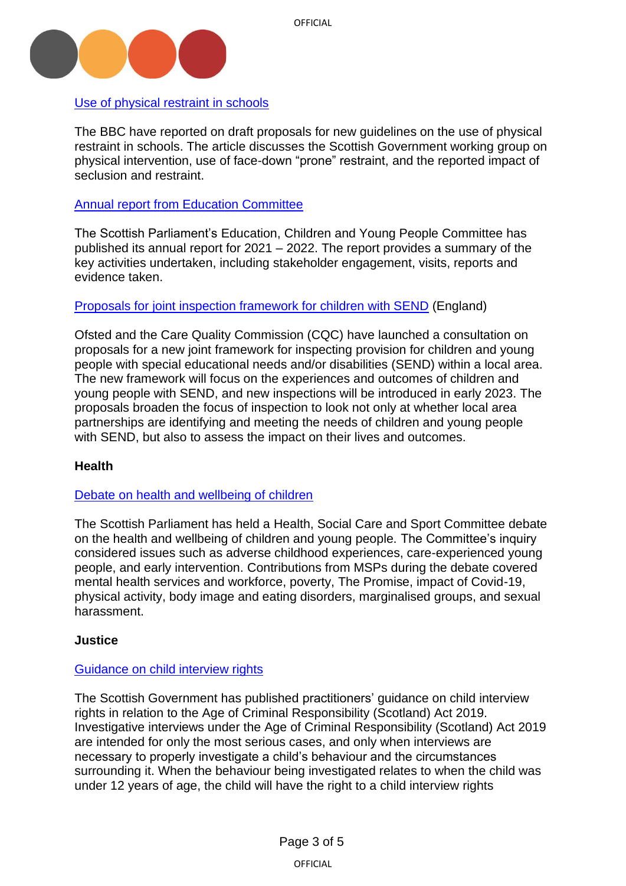

[Use of physical restraint in schools](https://www.bbc.co.uk/news/uk-scotland-61832719)

The BBC have reported on draft proposals for new guidelines on the use of physical restraint in schools. The article discusses the Scottish Government working group on physical intervention, use of face-down "prone" restraint, and the reported impact of seclusion and restraint.

[Annual report from Education Committee](https://digitalpublications.parliament.scot/Committees/Report/ECYP/2022/6/17/ecdac2c1-f323-46c8-9d11-74dbfdf5a5ff)

The Scottish Parliament's Education, Children and Young People Committee has published its annual report for 2021 – 2022. The report provides a summary of the key activities undertaken, including stakeholder engagement, visits, reports and evidence taken.

Proposals for joint inspection framework [for children with SEND](https://www.gov.uk/government/news/ofsted-and-cqc-launch-consultation-for-new-inspection-provision-framework-for-children-and-young-people-with-send) (England)

Ofsted and the Care Quality Commission (CQC) have launched a consultation on proposals for a new joint framework for inspecting provision for children and young people with special educational needs and/or disabilities (SEND) within a local area. The new framework will focus on the experiences and outcomes of children and young people with SEND, and new inspections will be introduced in early 2023. The proposals broaden the focus of inspection to look not only at whether local area partnerships are identifying and meeting the needs of children and young people with SEND, but also to assess the impact on their lives and outcomes.

## <span id="page-2-0"></span>**[Health](https://www.parliament.scot/chamber-and-committees/official-report/what-was-said-in-parliament/meeting-of-parliament-15-06-2022?meeting=13822&iob=125333)**

## [Debate on health and wellbeing of children](https://www.parliament.scot/chamber-and-committees/official-report/what-was-said-in-parliament/meeting-of-parliament-15-06-2022?meeting=13822&iob=125333)

The Scottish Parliament has held a Health, Social Care and Sport Committee debate on the health and wellbeing of children and young people. The Committee's inquiry considered issues such as adverse childhood experiences, care-experienced young people, and early intervention. Contributions from MSPs during the debate covered mental health services and workforce, poverty, The Promise, impact of Covid-19, physical activity, body image and eating disorders, marginalised groups, and sexual harassment.

#### <span id="page-2-1"></span>**Justice**

#### [Guidance on child interview rights](https://www.gov.scot/publications/age-criminal-responsibility-scotland-act-2019-child-interview-rights-practitioners-application-guidance/)

The Scottish Government has published practitioners' guidance on child interview rights in relation to the Age of Criminal Responsibility (Scotland) Act 2019. Investigative interviews under the Age of Criminal Responsibility (Scotland) Act 2019 are intended for only the most serious cases, and only when interviews are necessary to properly investigate a child's behaviour and the circumstances surrounding it. When the behaviour being investigated relates to when the child was under 12 years of age, the child will have the right to a child interview rights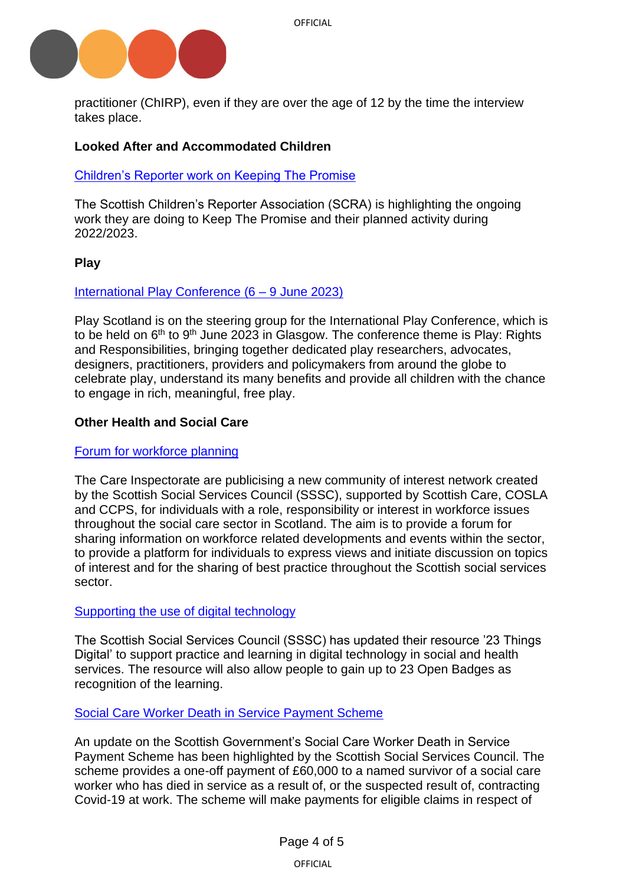

practitioner (ChIRP), even if they are over the age of 12 by the time the interview takes place.

# <span id="page-3-0"></span>**Looked After and Accommodated Children**

## [Children's Reporter work on Keeping The Promise](https://www.scra.gov.uk/2022/06/keeping-the-promise-our-improvement-work-2022-2023/)

The Scottish Children's Reporter Association (SCRA) is highlighting the ongoing work they are doing to Keep The Promise and their planned activity during 2022/2023.

## <span id="page-3-1"></span>**Play**

#### [International Play Conference \(6 –](https://www.playscotland.org/ipa-conference-is-coming-to-glasgow/) 9 June 2023)

Play Scotland is on the steering group for the International Play Conference, which is to be held on 6<sup>th</sup> to 9<sup>th</sup> June 2023 in Glasgow. The conference theme is Play: Rights and Responsibilities, bringing together dedicated play researchers, advocates, designers, practitioners, providers and policymakers from around the globe to celebrate play, understand its many benefits and provide all children with the chance to engage in rich, meaningful, free play.

#### <span id="page-3-2"></span>**Other Health and Social Care**

#### [Forum for workforce planning](https://www.careinspectorate.com/index.php/news/6721-scottish-social-care-workforce-planning-forum)

The Care Inspectorate are publicising a new community of interest network created by the Scottish Social Services Council (SSSC), supported by Scottish Care, COSLA and CCPS, for individuals with a role, responsibility or interest in workforce issues throughout the social care sector in Scotland. The aim is to provide a forum for sharing information on workforce related developments and events within the sector, to provide a platform for individuals to express views and initiate discussion on topics of interest and for the sharing of best practice throughout the Scottish social services sector.

## [Supporting the use of digital technology](https://news.sssc.uk.com/news/23-things-digital)

The Scottish Social Services Council (SSSC) has updated their resource '23 Things Digital' to support practice and learning in digital technology in social and health services. The resource will also allow people to gain up to 23 Open Badges as recognition of the learning.

#### [Social Care Worker Death in Service Payment Scheme](https://news.sssc.uk.com/news/update-social-care-worker-death-in-service-scheme)

An update on the Scottish Government's Social Care Worker Death in Service Payment Scheme has been highlighted by the Scottish Social Services Council. The scheme provides a one-off payment of £60,000 to a named survivor of a social care worker who has died in service as a result of, or the suspected result of, contracting Covid-19 at work. The scheme will make payments for eligible claims in respect of

OFFICIAL